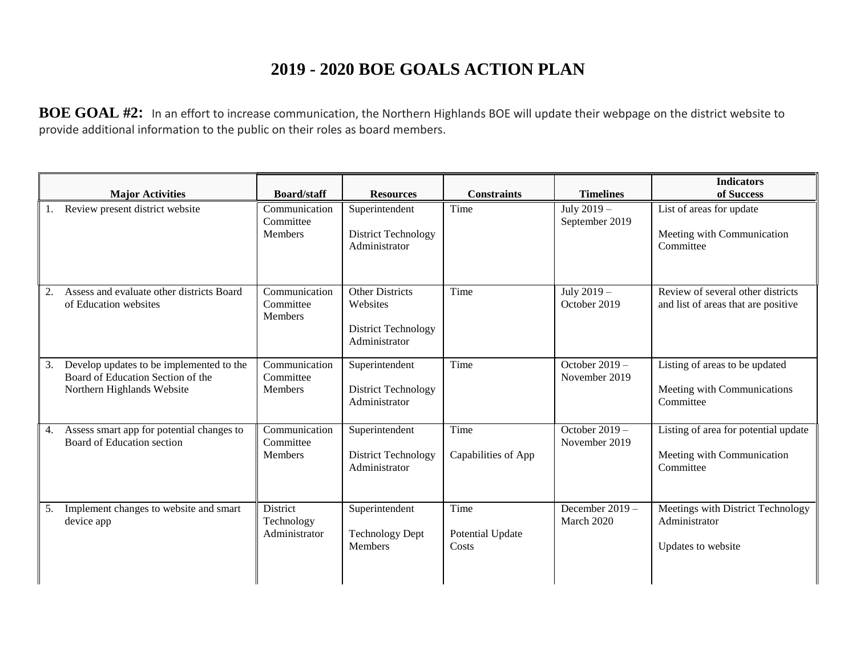## **2019 - 2020 BOE GOALS ACTION PLAN**

**BOE GOAL #2:** In an effort to increase communication, the Northern Highlands BOE will update their webpage on the district website to provide additional information to the public on their roles as board members.

|    | <b>Major Activities</b>                                                                                     | <b>Board/staff</b>                           | <b>Resources</b>                                                                  | <b>Constraints</b>                | <b>Timelines</b>                  | <b>Indicators</b><br>of Success                                                 |
|----|-------------------------------------------------------------------------------------------------------------|----------------------------------------------|-----------------------------------------------------------------------------------|-----------------------------------|-----------------------------------|---------------------------------------------------------------------------------|
|    | Review present district website                                                                             | Communication<br>Committee<br>Members        | Superintendent<br><b>District Technology</b><br>Administrator                     | Time                              | July 2019 -<br>September 2019     | List of areas for update<br>Meeting with Communication<br>Committee             |
|    | Assess and evaluate other districts Board<br>of Education websites                                          | Communication<br>Committee<br><b>Members</b> | <b>Other Districts</b><br>Websites<br><b>District Technology</b><br>Administrator | Time                              | July 2019 -<br>October 2019       | Review of several other districts<br>and list of areas that are positive        |
| 3. | Develop updates to be implemented to the<br>Board of Education Section of the<br>Northern Highlands Website | Communication<br>Committee<br><b>Members</b> | Superintendent<br><b>District Technology</b><br>Administrator                     | Time                              | October $2019 -$<br>November 2019 | Listing of areas to be updated<br>Meeting with Communications<br>Committee      |
| 4. | Assess smart app for potential changes to<br>Board of Education section                                     | Communication<br>Committee<br><b>Members</b> | Superintendent<br><b>District Technology</b><br>Administrator                     | Time<br>Capabilities of App       | October $2019 -$<br>November 2019 | Listing of area for potential update<br>Meeting with Communication<br>Committee |
| 5. | Implement changes to website and smart<br>device app                                                        | District<br>Technology<br>Administrator      | Superintendent<br><b>Technology Dept</b><br><b>Members</b>                        | Time<br>Potential Update<br>Costs | December 2019 -<br>March 2020     | Meetings with District Technology<br>Administrator<br>Updates to website        |